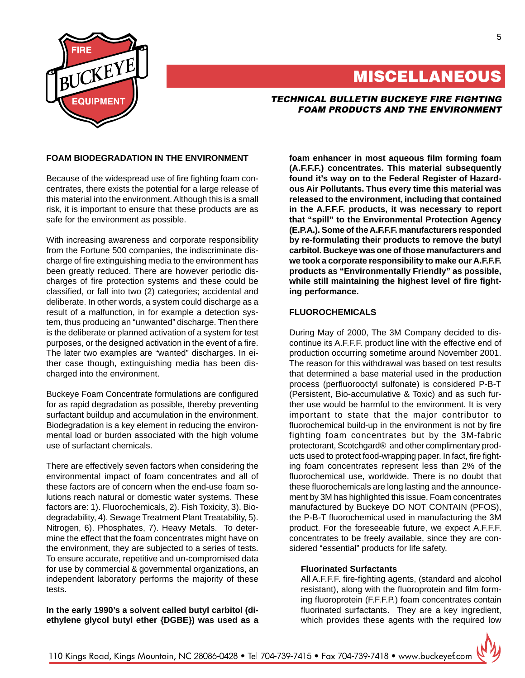

# **MISCELLANEOUS**

## TECHNICAL BULLETIN BUCKEYE FIRE FIGHTING FOAM PRODUCTS AND THE ENVIRONMENT

## **FOAM BIODEGRADATION IN THE ENVIRONMENT**

Because of the widespread use of fire fighting foam concentrates, there exists the potential for a large release of this material into the environment. Although this is a small risk, it is important to ensure that these products are as safe for the environment as possible.

With increasing awareness and corporate responsibility from the Fortune 500 companies, the indiscriminate discharge of fire extinguishing media to the environment has been greatly reduced. There are however periodic discharges of fire protection systems and these could be classified, or fall into two (2) categories; accidental and deliberate. In other words, a system could discharge as a result of a malfunction, in for example a detection system, thus producing an "unwanted" discharge. Then there is the deliberate or planned activation of a system for test purposes, or the designed activation in the event of a fire. The later two examples are "wanted" discharges. In either case though, extinguishing media has been discharged into the environment.

Buckeye Foam Concentrate formulations are configured for as rapid degradation as possible, thereby preventing surfactant buildup and accumulation in the environment. Biodegradation is a key element in reducing the environmental load or burden associated with the high volume use of surfactant chemicals.

There are effectively seven factors when considering the environmental impact of foam concentrates and all of these factors are of concern when the end-use foam solutions reach natural or domestic water systems. These factors are: 1). Fluorochemicals, 2). Fish Toxicity, 3). Biodegradability, 4). Sewage Treatment Plant Treatability, 5). Nitrogen, 6). Phosphates, 7). Heavy Metals. To determine the effect that the foam concentrates might have on the environment, they are subjected to a series of tests. To ensure accurate, repetitive and un-compromised data for use by commercial & governmental organizations, an independent laboratory performs the majority of these tests.

**In the early 1990's a solvent called butyl carbitol (diethylene glycol butyl ether {DGBE}) was used as a** **foam enhancer in most aqueous film forming foam (A.F.F.F.) concentrates. This material subsequently found it's way on to the Federal Register of Hazardous Air Pollutants. Thus every time this material was released to the environment, including that contained in the A.F.F.F. products, it was necessary to report that "spill" to the Environmental Protection Agency (E.P.A.). Some of the A.F.F.F. manufacturers responded by re-formulating their products to remove the butyl carbitol. Buckeye was one of those manufacturers and we took a corporate responsibility to make our A.F.F.F. products as "Environmentally Friendly" as possible, while still maintaining the highest level of fire fighting performance.**

## **FLUOROCHEMICALS**

During May of 2000, The 3M Company decided to discontinue its A.F.F.F. product line with the effective end of production occurring sometime around November 2001. The reason for this withdrawal was based on test results that determined a base material used in the production process (perfluorooctyl sulfonate) is considered P-B-T (Persistent, Bio-accumulative & Toxic) and as such further use would be harmful to the environment. It is very important to state that the major contributor to fluorochemical build-up in the environment is not by fire fighting foam concentrates but by the 3M-fabric protectorant, Scotchgard® and other complimentary products used to protect food-wrapping paper. In fact, fire fighting foam concentrates represent less than 2% of the fluorochemical use, worldwide. There is no doubt that these fluorochemicals are long lasting and the announcement by 3M has highlighted this issue. Foam concentrates manufactured by Buckeye DO NOT CONTAIN (PFOS), the P-B-T fluorochemical used in manufacturing the 3M product. For the foreseeable future, we expect A.F.F.F. concentrates to be freely available, since they are considered "essential" products for life safety.

## **Fluorinated Surfactants**

All A.F.F.F. fire-fighting agents, (standard and alcohol resistant), along with the fluoroprotein and film forming fluoroprotein (F.F.F.P.) foam concentrates contain fluorinated surfactants. They are a key ingredient, which provides these agents with the required low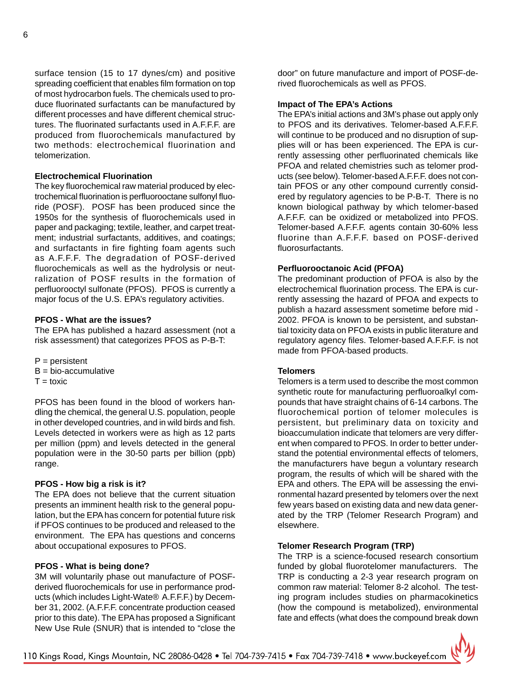surface tension (15 to 17 dynes/cm) and positive spreading coefficient that enables film formation on top of most hydrocarbon fuels. The chemicals used to produce fluorinated surfactants can be manufactured by different processes and have different chemical structures. The fluorinated surfactants used in A.F.F.F. are produced from fluorochemicals manufactured by two methods: electrochemical fluorination and telomerization.

#### **Electrochemical Fluorination**

The key fluorochemical raw material produced by electrochemical fluorination is perfluorooctane sulfonyl fluoride (POSF). POSF has been produced since the 1950s for the synthesis of fluorochemicals used in paper and packaging; textile, leather, and carpet treatment; industrial surfactants, additives, and coatings; and surfactants in fire fighting foam agents such as A.F.F.F. The degradation of POSF-derived fluorochemicals as well as the hydrolysis or neutralization of POSF results in the formation of perfluorooctyl sulfonate (PFOS). PFOS is currently a major focus of the U.S. EPA's regulatory activities.

#### **PFOS - What are the issues?**

The EPA has published a hazard assessment (not a risk assessment) that categorizes PFOS as P-B-T:

- $P =$  persistent  $B = bio$ -accumulative
- $T =$ toxic

PFOS has been found in the blood of workers handling the chemical, the general U.S. population, people in other developed countries, and in wild birds and fish. Levels detected in workers were as high as 12 parts per million (ppm) and levels detected in the general population were in the 30-50 parts per billion (ppb) range.

#### **PFOS - How big a risk is it?**

The EPA does not believe that the current situation presents an imminent health risk to the general population, but the EPA has concern for potential future risk if PFOS continues to be produced and released to the environment. The EPA has questions and concerns about occupational exposures to PFOS.

#### **PFOS - What is being done?**

3M will voluntarily phase out manufacture of POSFderived fluorochemicals for use in performance products (which includes Light-Wate® A.F.F.F.) by December 31, 2002. (A.F.F.F. concentrate production ceased prior to this date). The EPA has proposed a Significant New Use Rule (SNUR) that is intended to "close the

door" on future manufacture and import of POSF-derived fluorochemicals as well as PFOS.

#### **Impact of The EPA's Actions**

The EPA's initial actions and 3M's phase out apply only to PFOS and its derivatives. Telomer-based A.F.F.F. will continue to be produced and no disruption of supplies will or has been experienced. The EPA is currently assessing other perfluorinated chemicals like PFOA and related chemistries such as telomer products (see below). Telomer-based A.F.F.F. does not contain PFOS or any other compound currently considered by regulatory agencies to be P-B-T. There is no known biological pathway by which telomer-based A.F.F.F. can be oxidized or metabolized into PFOS. Telomer-based A.F.F.F. agents contain 30-60% less fluorine than A.F.F.F. based on POSF-derived fluorosurfactants.

#### **Perfluorooctanoic Acid (PFOA)**

The predominant production of PFOA is also by the electrochemical fluorination process. The EPA is currently assessing the hazard of PFOA and expects to publish a hazard assessment sometime before mid - 2002. PFOA is known to be persistent, and substantial toxicity data on PFOA exists in public literature and regulatory agency files. Telomer-based A.F.F.F. is not made from PFOA-based products.

#### **Telomers**

Telomers is a term used to describe the most common synthetic route for manufacturing perfluoroalkyl compounds that have straight chains of 6-14 carbons. The fluorochemical portion of telomer molecules is persistent, but preliminary data on toxicity and bioaccumulation indicate that telomers are very different when compared to PFOS. In order to better understand the potential environmental effects of telomers, the manufacturers have begun a voluntary research program, the results of which will be shared with the EPA and others. The EPA will be assessing the environmental hazard presented by telomers over the next few years based on existing data and new data generated by the TRP (Telomer Research Program) and elsewhere.

#### **Telomer Research Program (TRP)**

The TRP is a science-focused research consortium funded by global fluorotelomer manufacturers. The TRP is conducting a 2-3 year research program on common raw material: Telomer 8-2 alcohol. The testing program includes studies on pharmacokinetics (how the compound is metabolized), environmental fate and effects (what does the compound break down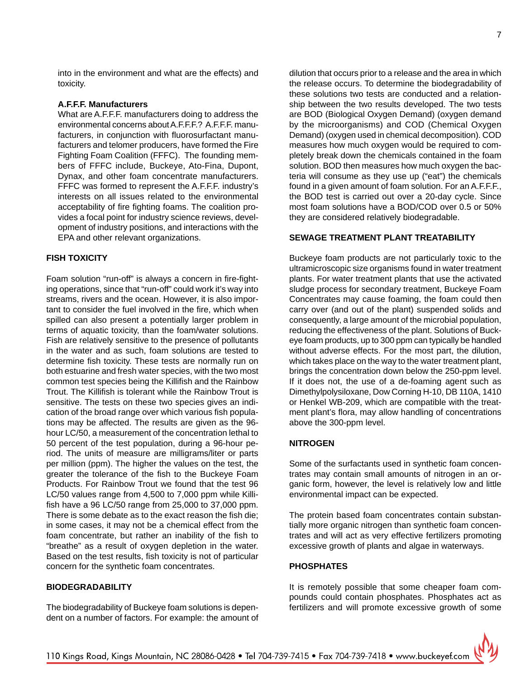#### **A.F.F.F. Manufacturers**

What are A.F.F.F. manufacturers doing to address the environmental concerns about A.F.F.F.? A.F.F.F. manufacturers, in conjunction with fluorosurfactant manufacturers and telomer producers, have formed the Fire Fighting Foam Coalition (FFFC). The founding members of FFFC include, Buckeye, Ato-Fina, Dupont, Dynax, and other foam concentrate manufacturers. FFFC was formed to represent the A.F.F.F. industry's interests on all issues related to the environmental acceptability of fire fighting foams. The coalition provides a focal point for industry science reviews, development of industry positions, and interactions with the EPA and other relevant organizations.

#### **FISH TOXICITY**

Foam solution "run-off" is always a concern in fire-fighting operations, since that "run-off" could work it's way into streams, rivers and the ocean. However, it is also important to consider the fuel involved in the fire, which when spilled can also present a potentially larger problem in terms of aquatic toxicity, than the foam/water solutions. Fish are relatively sensitive to the presence of pollutants in the water and as such, foam solutions are tested to determine fish toxicity. These tests are normally run on both estuarine and fresh water species, with the two most common test species being the Killifish and the Rainbow Trout. The Killifish is tolerant while the Rainbow Trout is sensitive. The tests on these two species gives an indication of the broad range over which various fish populations may be affected. The results are given as the 96 hour LC/50, a measurement of the concentration lethal to 50 percent of the test population, during a 96-hour period. The units of measure are milligrams/liter or parts per million (ppm). The higher the values on the test, the greater the tolerance of the fish to the Buckeye Foam Products. For Rainbow Trout we found that the test 96 LC/50 values range from 4,500 to 7,000 ppm while Killifish have a 96 LC/50 range from 25,000 to 37,000 ppm. There is some debate as to the exact reason the fish die; in some cases, it may not be a chemical effect from the foam concentrate, but rather an inability of the fish to "breathe" as a result of oxygen depletion in the water. Based on the test results, fish toxicity is not of particular concern for the synthetic foam concentrates.

## **BIODEGRADABILITY**

The biodegradability of Buckeye foam solutions is dependent on a number of factors. For example: the amount of dilution that occurs prior to a release and the area in which the release occurs. To determine the biodegradability of these solutions two tests are conducted and a relationship between the two results developed. The two tests are BOD (Biological Oxygen Demand) (oxygen demand by the microorganisms) and COD (Chemical Oxygen Demand) (oxygen used in chemical decomposition). COD measures how much oxygen would be required to completely break down the chemicals contained in the foam solution. BOD then measures how much oxygen the bacteria will consume as they use up ("eat") the chemicals found in a given amount of foam solution. For an A.F.F.F., the BOD test is carried out over a 20-day cycle. Since most foam solutions have a BOD/COD over 0.5 or 50% they are considered relatively biodegradable.

## **SEWAGE TREATMENT PLANT TREATABILITY**

Buckeye foam products are not particularly toxic to the ultramicroscopic size organisms found in water treatment plants. For water treatment plants that use the activated sludge process for secondary treatment, Buckeye Foam Concentrates may cause foaming, the foam could then carry over (and out of the plant) suspended solids and consequently, a large amount of the microbial population, reducing the effectiveness of the plant. Solutions of Buckeye foam products, up to 300 ppm can typically be handled without adverse effects. For the most part, the dilution, which takes place on the way to the water treatment plant, brings the concentration down below the 250-ppm level. If it does not, the use of a de-foaming agent such as Dimethylpolysiloxane, Dow Corning H-10, DB 110A, 1410 or Henkel WB-209, which are compatible with the treatment plant's flora, may allow handling of concentrations above the 300-ppm level.

#### **NITROGEN**

Some of the surfactants used in synthetic foam concentrates may contain small amounts of nitrogen in an organic form, however, the level is relatively low and little environmental impact can be expected.

The protein based foam concentrates contain substantially more organic nitrogen than synthetic foam concentrates and will act as very effective fertilizers promoting excessive growth of plants and algae in waterways.

## **PHOSPHATES**

It is remotely possible that some cheaper foam compounds could contain phosphates. Phosphates act as fertilizers and will promote excessive growth of some